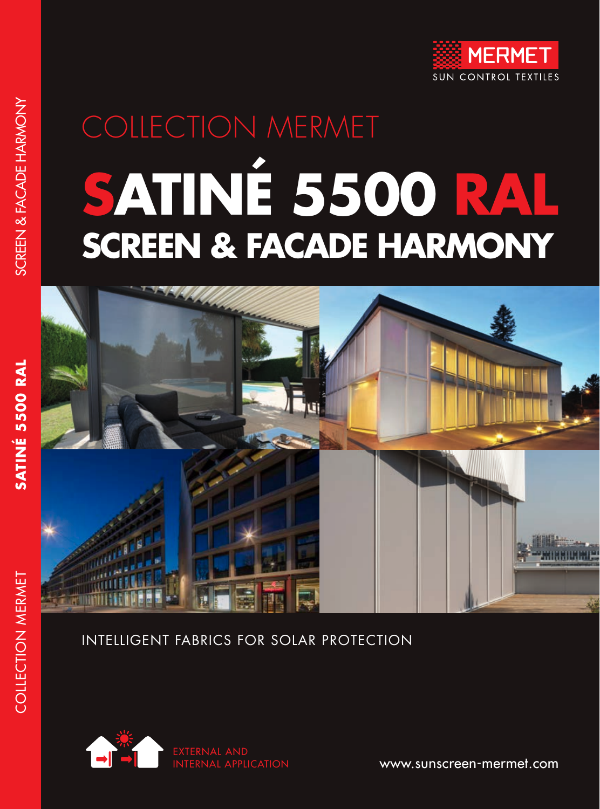

# COLLECTION MERMET **SATINÉ 5500 RAL SCREEN & FACADE HARMONY**



### INTELLIGENT FABRICS FOR SOLAR PROTECTION



www.sunscreen-mermet.com

**SATINÉ 5500 RAL**

COLLECTION MERMET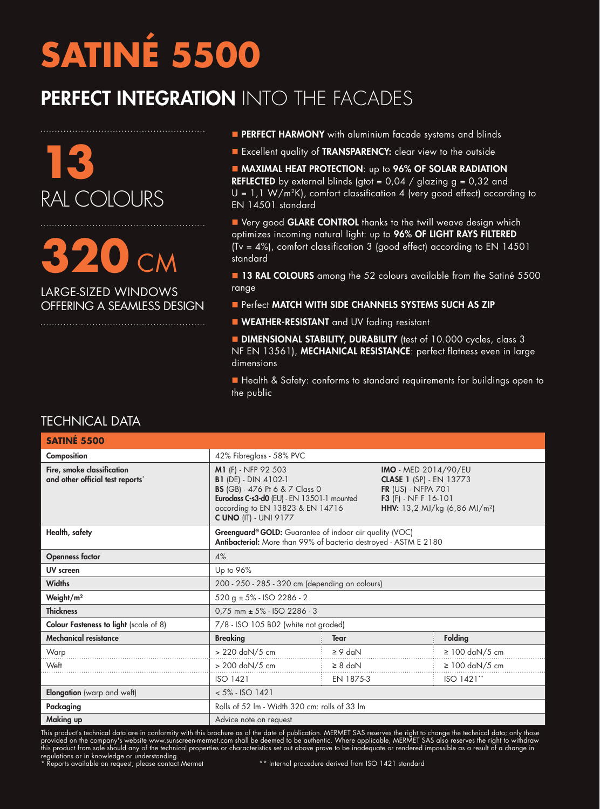## **SATINÉ 5500**

### PERFECT INTEGRATION INTO THE FACADES



**320** CM

LARGE-SIZED WINDOWS OFFERING A SEAMLESS DESIGN

- **PERFECT HARMONY** with aluminium facade systems and blinds
- Excellent quality of TRANSPARENCY: clear view to the outside

**MAXIMAL HEAT PROTECTION:** up to 96% OF SOLAR RADIATION **REFLECTED** by external blinds (gtot =  $0.04$  / glazing g =  $0.32$  and  $U = 1,1 W/m^2K$ , comfort classification 4 (very good effect) according to EN 14501 standard

■ Very good GLARE CONTROL thanks to the twill weave design which optimizes incoming natural light: up to 96% OF LIGHT RAYS FILTERED (Tv = 4%), comfort classification 3 (good effect) according to EN 14501 standard

**n 13 RAL COLOURS** among the 52 colours available from the Satiné 5500 range

- **Perfect MATCH WITH SIDE CHANNELS SYSTEMS SUCH AS ZIP**
- **NEATHER-RESISTANT** and UV fading resistant

**DIMENSIONAL STABILITY, DURABILITY** (test of 10.000 cycles, class 3 NF EN 13561), MECHANICAL RESISTANCE: perfect flatness even in large dimensions

■ Health & Safety: conforms to standard requirements for buildings open to the public

| SATINÉ 5500                                                    |                                                                                                                                                                                                                |              |                                                                                                                                                                 |                     |  |  |
|----------------------------------------------------------------|----------------------------------------------------------------------------------------------------------------------------------------------------------------------------------------------------------------|--------------|-----------------------------------------------------------------------------------------------------------------------------------------------------------------|---------------------|--|--|
| Composition                                                    | 42% Fibreglass - 58% PVC                                                                                                                                                                                       |              |                                                                                                                                                                 |                     |  |  |
| Fire, smoke classification<br>and other official test reports* | M1 (F) - NFP 92 503<br><b>B1</b> (DE) - DIN 4102-1<br><b>BS</b> (GB) - 476 Pt 6 & 7 Class 0<br>Euroclass C-s3-d0 (EU) - EN 13501-1 mounted<br>according to EN 13823 & EN 14716<br><b>C UNO (IT) - UNI 9177</b> |              | <b>IMO</b> - MED 2014/90/EU<br><b>CLASE 1 (SP) - EN 13773</b><br>FR (US) - NFPA 701<br><b>F3</b> (F) - NF F 16-101<br>HHV: 13,2 MJ/kg (6,86 MJ/m <sup>2</sup> ) |                     |  |  |
| Health, safety                                                 | Greenguard® GOLD: Guarantee of indoor air quality (VOC)<br>Antibacterial: More than 99% of bacteria destroyed - ASTM E 2180                                                                                    |              |                                                                                                                                                                 |                     |  |  |
| <b>Openness factor</b>                                         | 4%                                                                                                                                                                                                             |              |                                                                                                                                                                 |                     |  |  |
| <b>UV</b> screen                                               | Up to 96%                                                                                                                                                                                                      |              |                                                                                                                                                                 |                     |  |  |
| <b>Widths</b>                                                  | 200 - 250 - 285 - 320 cm (depending on colours)                                                                                                                                                                |              |                                                                                                                                                                 |                     |  |  |
| Weight/m <sup>2</sup>                                          | $520 g \pm 5\%$ - ISO 2286 - 2                                                                                                                                                                                 |              |                                                                                                                                                                 |                     |  |  |
| <b>Thickness</b>                                               | $0.75$ mm $\pm$ 5% - ISO 2286 - 3                                                                                                                                                                              |              |                                                                                                                                                                 |                     |  |  |
| Colour Fasteness to light (scale of 8)                         | 7/8 - ISO 105 B02 (white not graded)                                                                                                                                                                           |              |                                                                                                                                                                 |                     |  |  |
| <b>Mechanical resistance</b>                                   | <b>Breaking</b>                                                                                                                                                                                                | <b>Tear</b>  |                                                                                                                                                                 | Folding             |  |  |
| Warp                                                           | > 220 daN/5 cm                                                                                                                                                                                                 | $\geq 9$ daN |                                                                                                                                                                 | $\geq 100$ daN/5 cm |  |  |
| Weft                                                           | > 200 daN/5 cm                                                                                                                                                                                                 | $\geq 8$ daN |                                                                                                                                                                 | $\geq 100$ daN/5 cm |  |  |
|                                                                | <b>ISO 1421</b>                                                                                                                                                                                                | EN 1875-3    |                                                                                                                                                                 | ISO 1421**          |  |  |
| <b>Elongation</b> (warp and weft)                              | $< 5\%$ - ISO 1421                                                                                                                                                                                             |              |                                                                                                                                                                 |                     |  |  |
| Packaging                                                      | Rolls of 52 lm - Width 320 cm: rolls of 33 lm                                                                                                                                                                  |              |                                                                                                                                                                 |                     |  |  |
| Making up                                                      | Advice note on request                                                                                                                                                                                         |              |                                                                                                                                                                 |                     |  |  |

This product's technical data are in conformity with this brochure as of the date of publication. MERMET SAS reserves the right to change the technical data; only those provided on the company's website www.sunscreen-mermet.com shall be deemed to be authentic. Where applicable, MERMET SAS also reserves the right to withdraw this product from sale should any of the technical properties or characteristics set out above prove to be inadequate or rendered impossible as a result of a change in regulations or in knowledge or understanding.<br>\* Reports available on request, please contact Mermet \*\* hternal procedure derived from ISO 1421 standard

#### TECHNICAL DATA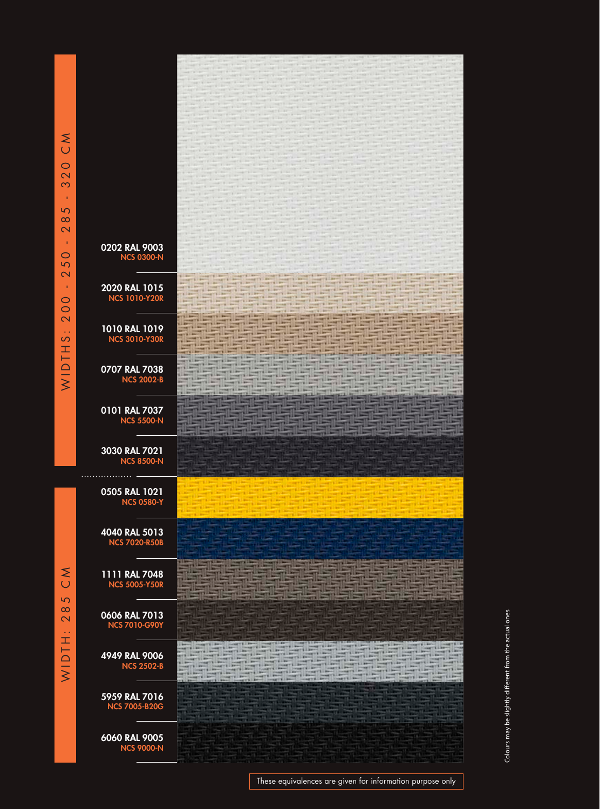0202 RAL 9003 NCS 0300-N 120 **THE REAL**  $-0.011$ **THE REAL** 2020 RAL 1015 The S 일종 11 NCS 1010-Y20R <u> Hallah Ka</u> **Till** - 11 1010 RAL 1019 매표 <u>e de de de</u> **THE REAL** NCS 3010-Y30R 719 <u>erak</u> UΞ 28 0707 RAL 7038 212 NCS 2002-B 0101 RAL 7037 NCS 5500-N ᆒ 3030 RAL 7021 NCS 8500-N . . . . . . . . . . . . . . . . . . 0505 RAL 1021 NCS 0580-Y 4040 RAL 5013 NCS 7020-R50B 1111 RAL 7048 NCS 5005-Y50R 0606 RAL 7013 NCS 7010-G90Y 4949 RAL 9006 NCS 2502-B 5959 RAL 7016 NCS 7005-B20G 6060 RAL 9005 NCS 9000-N

Colours may be slightly different from the actual ones Colours may be slightly different from the actual ones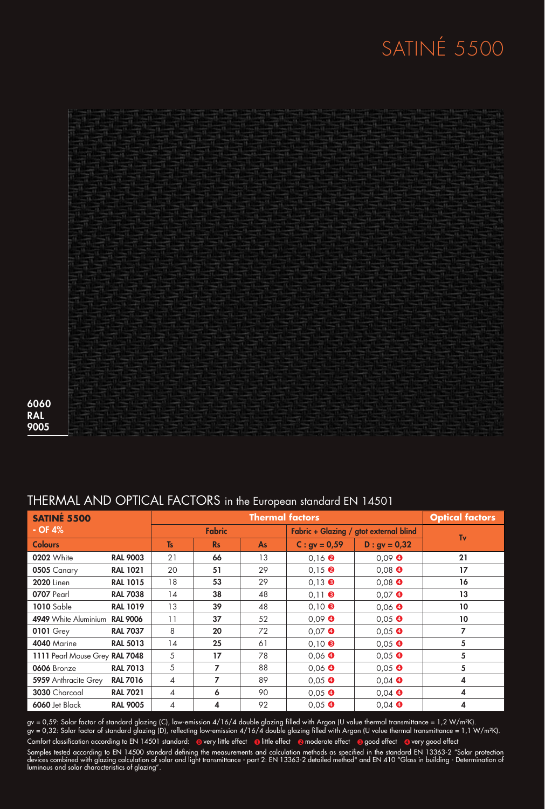## SATINÉ 5500



 RAL 

luminous and solar characteristics of glazing".

| <b>SATINE 5500</b>             |                 | $\sim$ . The state that $\sim$ is the state of $\sim$ . The state in the colopodition distribution of $\sim$<br><b>Thermal factors</b> |           |                                        |                                  |                  | <b>Optical factors</b> |
|--------------------------------|-----------------|----------------------------------------------------------------------------------------------------------------------------------------|-----------|----------------------------------------|----------------------------------|------------------|------------------------|
| $-$ OF 4%                      | <b>Fabric</b>   |                                                                                                                                        |           | Fabric + Glazing / gtot external blind |                                  |                  |                        |
| <b>Colours</b>                 |                 | <b>Ts</b>                                                                                                                              | <b>Rs</b> | <b>As</b>                              | $C: gy = 0.59$                   | $D : gv = 0,32$  | Tv                     |
| <b>0202</b> White              | <b>RAL 9003</b> | 21                                                                                                                                     | 66        | 13                                     | $0,16$ <b><math>\odot</math></b> | $0.09$ $\bullet$ | 21                     |
| 0505 Canary                    | <b>RAL 1021</b> | 20                                                                                                                                     | 51        | 29                                     | $0.15$ $\odot$                   | $0.08$ $\bullet$ | 17                     |
| <b>2020</b> Linen              | <b>RAL 1015</b> | 18                                                                                                                                     | 53        | 29                                     | $0,13$ $\bullet$                 | $0,08$ $\bullet$ | 16                     |
| 0707 Pearl                     | <b>RAL 7038</b> | 14                                                                                                                                     | 38        | 48                                     | $0,11$ $\odot$                   | $0.07$ $\bullet$ | 13                     |
| <b>1010</b> Sable              | <b>RAL 1019</b> | 13                                                                                                                                     | 39        | 48                                     | $0,10$ $\odot$                   | $0,06$ $\bullet$ | 10                     |
| 4949 White Aluminium RAL 9006  |                 | 11                                                                                                                                     | 37        | 52                                     | $0,09$ $\bullet$                 | $0,05$ $\bullet$ | 10                     |
| <b>0101 Grey</b>               | <b>RAL 7037</b> | 8                                                                                                                                      | 20        | 72                                     | $0.07$ $\bullet$                 | $0.05$ $\bullet$ | 7                      |
| 4040 Marine                    | <b>RAL 5013</b> | 14                                                                                                                                     | 25        | 61                                     | $0,10$ $\odot$                   | $0,05$ $\bullet$ | 5                      |
| 1111 Pearl Mouse Grey RAL 7048 |                 | 5                                                                                                                                      | 17        | 78                                     | $0,06$ $\bullet$                 | $0,05$ $\bullet$ | 5                      |
| 0606 Bronze                    | <b>RAL 7013</b> | 5                                                                                                                                      | 7         | 88                                     | $0,06$ $\bullet$                 | $0.05$ $\bullet$ | 5                      |
| <b>5959</b> Anthracite Grey    | <b>RAL 7016</b> | 4                                                                                                                                      | 7         | 89                                     | $0,05$ $\bullet$                 | $0,04$ $\bullet$ | 4                      |
| 3030 Charcoal                  | <b>RAL 7021</b> | $\overline{4}$                                                                                                                         | 6         | 90                                     | $0,05$ $\bullet$                 | $0.04$ $\bullet$ | 4                      |
| 6060 Jet Black                 | <b>RAL 9005</b> | 4                                                                                                                                      | 4         | 92                                     | $0.05$ $\bullet$                 | $0,04$ $\bullet$ | 4                      |

#### THERMAL AND OPTICAL FACTORS in the European standard EN 14501

gv = 0,59: Solar factor of standard glazing (C), low-emission 4/16/4 double glazing filled with Argon (U value thermal transmittance = 1,2 W/m²K). gv = 0,32: Solar factor of standard glazing (D), reflecting low-emission 4/16/4 double glazing filled with Argon (U value thermal transmittance = 1,1 W/m²K). Samples tested according to EN 14500 standard defining the measurements and calculation methods as specified in the standard EN 13363-2 "Solar protection devices combined with glazing calculation of solar and light transmittance - part 2: EN 13363-2 detailed method" and EN 410 "Glass in building - Determination of Comfort classification according to EN 14501 standard: @very little effect @little effect @moderate effect @good effect @very good effect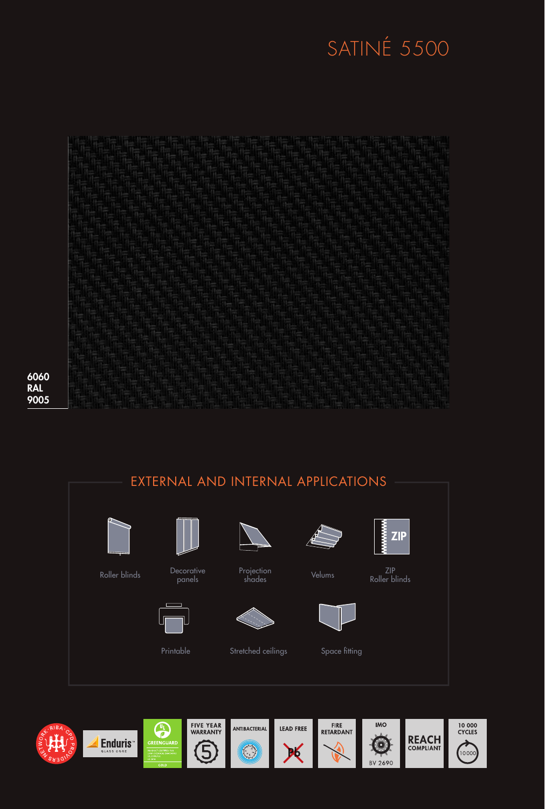## SATINÉ 5500

6060 **RAL** 9005